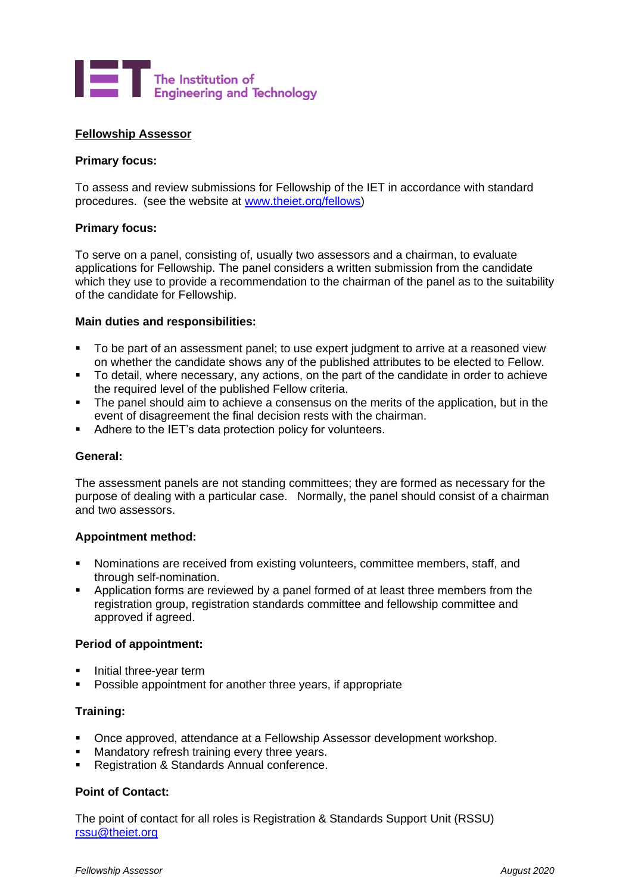

## **Fellowship Assessor**

## **Primary focus:**

To assess and review submissions for Fellowship of the IET in accordance with standard procedures. (see the website at [www.theiet.org/fellows\)](http://www.theiet.org/fellows)

## **Primary focus:**

To serve on a panel, consisting of, usually two assessors and a chairman, to evaluate applications for Fellowship. The panel considers a written submission from the candidate which they use to provide a recommendation to the chairman of the panel as to the suitability of the candidate for Fellowship.

#### **Main duties and responsibilities:**

- To be part of an assessment panel; to use expert judgment to arrive at a reasoned view on whether the candidate shows any of the published attributes to be elected to Fellow.
- To detail, where necessary, any actions, on the part of the candidate in order to achieve the required level of the published Fellow criteria.
- The panel should aim to achieve a consensus on the merits of the application, but in the event of disagreement the final decision rests with the chairman.
- Adhere to the IET's data protection policy for volunteers.

#### **General:**

The assessment panels are not standing committees; they are formed as necessary for the purpose of dealing with a particular case. Normally, the panel should consist of a chairman and two assessors.

#### **Appointment method:**

- Nominations are received from existing volunteers, committee members, staff, and through self-nomination.
- Application forms are reviewed by a panel formed of at least three members from the registration group, registration standards committee and fellowship committee and approved if agreed.

#### **Period of appointment:**

- Initial three-year term
- Possible appointment for another three years, if appropriate

#### **Training:**

- Once approved, attendance at a Fellowship Assessor development workshop.
- Mandatory refresh training every three years.
- Registration & Standards Annual conference.

# **Point of Contact:**

The point of contact for all roles is Registration & Standards Support Unit (RSSU) [rssu@theiet.org](mailto:rssu@theiet.org)